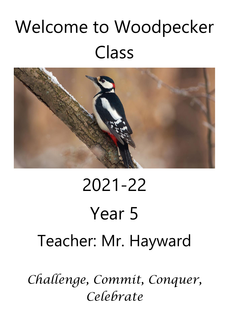# Welcome to Woodpecker Class



# 2021-22 Year 5 Teacher: Mr. Hayward

*Challenge, Commit, Conquer, Celebrate*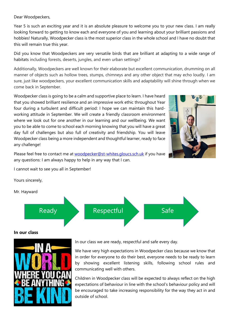Dear Woodpeckers,

Year 5 is such an exciting year and it is an absolute pleasure to welcome you to your new class. I am really looking forward to getting to know each and everyone of you and learning about your brilliant passions and hobbies! Naturally, Woodpecker class is the most superior class in the whole school and I have no doubt that this will remain true this year.

Did you know that Woodpeckers are very versatile birds that are brilliant at adapting to a wide range of habitats including forests, deserts, jungles, and even urban settings?

Additionally, Woodpeckers are well known for their elaborate but excellent communication, drumming on all manner of objects such as hollow trees, stumps, chimneys and any other object that may echo loudly. I am sure, just like woodpeckers, your excellent communication skills and adaptability will shine through when we come back in September.

Woodpecker class is going to be a calm and supportive place to learn. I have heard that you showed brilliant resilience and an impressive work ethic throughout Year four during a turbulent and difficult period: I hope we can maintain this hardworking attitude in September. We will create a friendly classroom environment where we look out for one another in our learning and our wellbeing. We want you to be able to come to school each morning knowing that you will have a great day full of challenges but also full of creativity and friendship. You will leave Woodpecker class being a more independent and thoughtful learner, ready to face any challenge!



Please feel free to contact me at [woodpecker@st-whites.gloucs.sch.uk](about:blank) if you have any questions: I am always happy to help in any way that I can.

I cannot wait to see you all in September!

Yours sincerely,

Mr. Hayward



# **In our class**



In our class we are ready, respectful and safe every day.

We have very high expectations in Woodpecker class because we know that in order for everyone to do their best, everyone needs to be ready to learn by showing excellent listening skills, following school rules and communicating well with others.

Children in Woodpecker class will be expected to always reflect on the high expectations of behaviour in line with the school's behaviour policy and will be encouraged to take increasing responsibility for the way they act in and outside of school.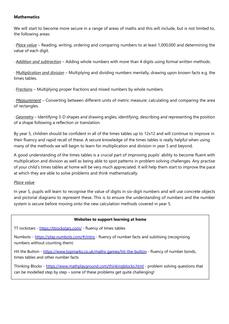# **Mathematics**

We will start to become more secure in a range of areas of maths and this will include, but is not limited to, the following areas:

· *Place value* – Reading, writing, ordering and comparing numbers to at least 1,000,000 and determining the value of each digit.

· *Addition and subtraction* – Adding whole numbers with more than 4 digits using formal written methods.

· *Multiplication and division* – Multiplying and dividing numbers mentally, drawing upon known facts e.g. the times tables.

· *Fractions* – Multiplying proper fractions and mixed numbers by whole numbers.

· *Measurement* – Converting between different units of metric measure; calculating and comparing the area of rectangles.

· *Geometry* – Identifying 3-D shapes and drawing angles; identifying, describing and representing the position of a shape following a reflection or translation.

By year 5, children should be confident in all of the times tables up to 12x12 and will continue to improve in their fluency and rapid recall of these. A secure knowledge of the times tables is really helpful when using many of the methods we will begin to learn for multiplication and division in year 5 and beyond.

A good understanding of the times tables is a crucial part of improving pupils' ability to become fluent with multiplication and division as well as being able to spot patterns in problem solving challenges. Any practise of your child's times tables at home will be very much appreciated. It will help them start to improve the pace at which they are able to solve problems and think mathematically.

# *Place value*

In year 5, pupils will learn to recognise the value of digits in six-digit numbers and will use concrete objects and pictorial diagrams to represent these. This is to ensure the understanding of numbers and the number system is secure before moving onto the new calculation methods covered in year 5.

#### Websites to support learning at home

TT rockstars - https://ttrockstars.com/ - fluency of times tables

Numbots - https://play.numbots.com/#/intro - fluency of number facts and subitising (recognising numbers without counting them)

Hit the Button - https://www.topmarks.co.uk/maths-games/hit-the-button - fluency of number bonds, times tables and other number facts

Thinking Blocks - https://www.mathplayground.com/thinkingblocks.html - problem solving questions that can be modelled step by step - some of these problems get quite challenging!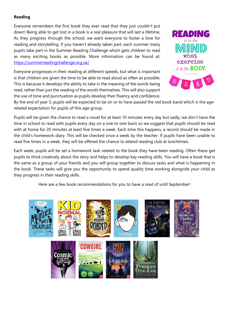# **Reading**

Everyone remembers the first book they ever read that they just couldn't put down! Being able to get lost in a book is a real pleasure that will last a lifetime. As they progress through the school, we want everyone to foster a love for reading and storytelling. If you haven't already taken part, each summer many pupils take part in the Summer Reading Challenge which gets children to read as many exciting books as possible. More information can be found at: [https://summerreadingchallenge.org.uk/](about:blank)

Everyone progresses in their reading at different speeds, but what is important is that children are given the time to be able to read aloud as often as possible. This is because it develops the ability to take in the meaning of the words being read, rather than just the reading of the words themselves. This will also support the use of tone and punctuation as pupils develop their fluency and confidence.



By the end of year 5, pupils will be expected to be on or to have passed the red book band which is the agerelated expectation for pupils of this age group.

Pupils will be given the chance to read a novel for at least 10 minutes every day but sadly, we don't have the time in school to read with pupils every day on a one to one basis so we suggest that pupils should be read with at home for 20 minutes at least five times a week. Each time this happens, a record should be made in the child's homework diary. This will be checked once a week by the teacher. If pupils have been unable to read five times in a week, they will be offered the chance to attend reading club at lunchtimes.

Each week, pupils will be set a homework task related to the book they have been reading. Often these get pupils to think creatively about the story and helps to develop key reading skills. You will have a book that is the same as a group of your friends and you will group together to discuss tasks and what is happening in the book. These tasks will give you the opportunity to spend quality time working alongside your child as they progress in their reading skills.

Here are a few book recommendations for you to have a read of until September!

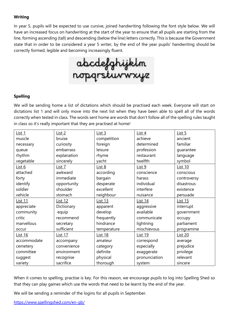# **Writing**

In year 5, pupils will be expected to use cursive, joined handwriting following the font style below. We will have an increased focus on handwriting at the start of the year to ensure that all pupils are starting from the line, forming ascending (tall) and descending (below the line) letters correctly. This is because the Government state that in order to be considered a year 5 writer, by the end of the year pupils' handwriting should be correctly formed, legible and becoming increasingly fluent.



# **Spelling**

We will be sending home a list of dictations which should be practised each week. Everyone will start on dictations list 1 and will only move into the next list when they have been able to spell all of the words correctly when tested in class. The words sent home are words that don't follow all of the spelling rules taught in class so it's really important that they are practised at home!

| List 1         | List 2         | List <sub>3</sub> | List 4         | List <sub>5</sub> |
|----------------|----------------|-------------------|----------------|-------------------|
| muscle         | bruise         | competition       | achieve        | ancient           |
| necessary      | curiosity      | foreign           | determined     | familiar          |
| queue          | embarrass      | leisure           | profession     | guarantee         |
| rhythm         | explanation    | rhyme             | restaurant     | language          |
| vegetable      | sincerely      | yacht             | twelfth        | symbol            |
| List $6$       | List $7$       | List 8            | List 9         | <b>List 10</b>    |
| attached       | awkward        | according         | conscience     | conscious         |
| forty          | immediate      | bargain           | harass         | controversy       |
| identify       | opportunity    | desperate         | individual     | disastrous        |
| soldier        | shoulder       | excellent         | interfere      | existence         |
| vehicle        | stomach        | neighbour         | nuisance       | persuade          |
| <b>List 11</b> | <b>List 12</b> | <b>List 13</b>    | <b>List 14</b> | <b>List 15</b>    |
| appreciate     | Dictionary     | apparent          | aggressive     | interrupt         |
| community      | equip          | develop           | available      | government        |
| critic         | recommend      | frequently        | communicate    | occupy            |
| marvellous     | secretary      | hindrance         | lightning      | parliament        |
| occur          | sufficient     | temperature       | mischievous    | programme         |
| <b>List 16</b> | <b>List 17</b> | <b>List 18</b>    | <b>List 19</b> | <b>List 20</b>    |
| accommodate    | accompany      | amateur           | correspond     | average           |
| cemetery       | convenience    | category          | especially     | prejudice         |
| committee      | environment    | definite          | exaggerate     | privilege         |
| suggest        | recognise      | physical          | pronunciation  | relevant          |
| variety        | sacrifice      | thorough          | system         | sincere           |

When it comes to spelling, practise is key. For this reason, we encourage pupils to log into Spelling Shed so that they can play games which use the words that need to be learnt by the end of the year.

We will be sending a reminder of the logins for all pupils in September.

[https://www.spellingshed.com/en-gb/](about:blank)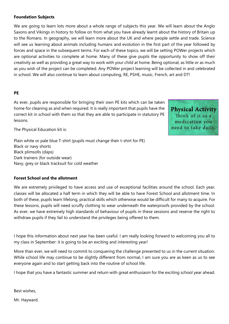#### **Foundation Subjects**

We are going to learn lots more about a whole range of subjects this year. We will learn about the Anglo Saxons and Vikings in history to follow on from what you have already learnt about the history of Britain up to the Romans. In geography, we will learn more about the UK and where people settle and trade. Science will see us learning about animals including humans and evolution in the first part of the year followed by forces and space in the subsequent terms. For each of these topics, we will be setting POWer projects which are optional activities to complete at home. Many of these give pupils the opportunity to show off their creativity as well as providing a great way to work with your child at home. Being optional, as little or as much as you wish of the project can be completed. Any POWer project learning will be collected in and celebrated in school. We will also continue to learn about computing, RE, PSHE, music, French, art and DT!

#### **PE**

As ever, pupils are responsible for bringing their own PE kits which can be taken home for cleaning as and when required. It is really important that pupils have the correct kit in school with them so that they are able to participate in statutory PE lessons.

The Physical Education kit is:

Plain white or pale blue T-shirt (pupils must change their t-shirt for PE) Black or navy shorts Black plimsolls (daps) Dark trainers (for outside wear) Navy, grey or black tracksuit for cold weather

**Forest School and the allotment** 

We are extremely privileged to have access and use of exceptional facilities around the school. Each year, classes will be allocated a half term in which they will be able to have Forest School and allotment time. In both of these, pupils learn lifelong, practical skills which otherwise would be difficult for many to acquire. For these lessons, pupils will need scruffy clothing to wear underneath the waterproofs provided by the school. As ever, we have extremely high standards of behaviour of pupils in these sessions and reserve the right to withdraw pupils if they fail to understand the privileges being offered to them.

I hope this information about next year has been useful. I am really looking forward to welcoming you all to my class in September: it is going to be an exciting and interesting year!

More than ever, we will need to commit to conquering the challenge presented to us in the current situation. While school life may continue to be slightly different from normal, I am sure you are as keen as us to see everyone again and to start getting back into the routine of school life.

I hope that you have a fantastic summer and return with great enthusiasm for the exciting school year ahead.

Best wishes,

Mr. Hayward.

**Physical Activity** Think of it as a medication you need to take daily.